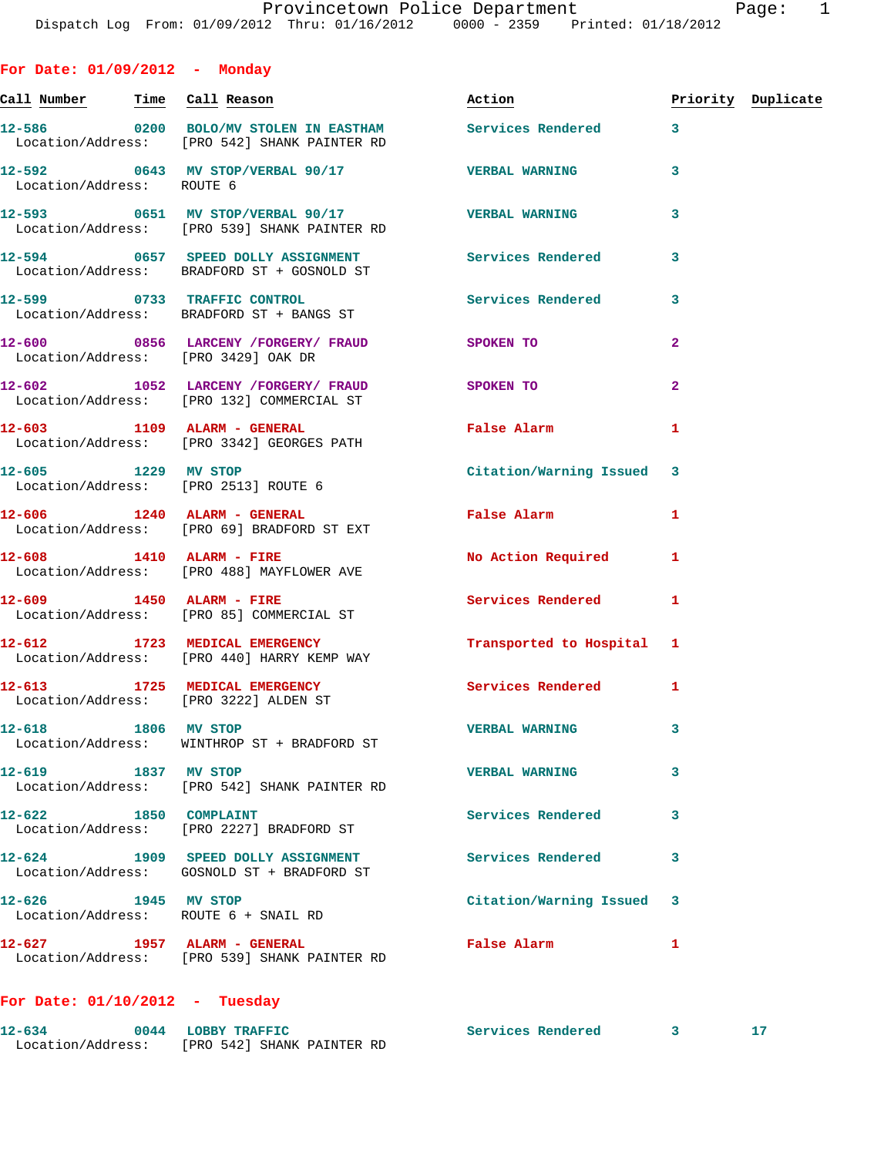| 0<br>L |  |  |
|--------|--|--|
|        |  |  |

**For Date: 01/09/2012 - Monday Call Number Time Call Reason Action Priority Duplicate 12-586 0200 BOLO/MV STOLEN IN EASTHAM Services Rendered 3**  Location/Address: [PRO 542] SHANK PAINTER RD **12-592 0643 MV STOP/VERBAL 90/17 VERBAL WARNING 3**  Location/Address: ROUTE 6 **12-593 0651 MV STOP/VERBAL 90/17 VERBAL WARNING 3**  Location/Address: [PRO 539] SHANK PAINTER RD **12-594 0657 SPEED DOLLY ASSIGNMENT Services Rendered 3**  Location/Address: BRADFORD ST + GOSNOLD ST **12-599 0733 TRAFFIC CONTROL Services Rendered 3**  Location/Address: BRADFORD ST + BANGS ST **12-600 0856 LARCENY /FORGERY/ FRAUD SPOKEN TO 2**  Location/Address: [PRO 3429] OAK DR **12-602 1052 LARCENY /FORGERY/ FRAUD SPOKEN TO 2**  Location/Address: [PRO 132] COMMERCIAL ST **12-603 1109 ALARM - GENERAL False Alarm 1**  Location/Address: [PRO 3342] GEORGES PATH **12-605 1229 MV STOP Citation/Warning Issued 3**  Location/Address: [PRO 2513] ROUTE 6 **12-606 1240 ALARM - GENERAL False Alarm 1**  Location/Address: [PRO 69] BRADFORD ST EXT **12-608 1410 ALARM - FIRE No Action Required 1**  Location/Address: [PRO 488] MAYFLOWER AVE **12-609 1450 ALARM - FIRE Services Rendered 1**  Location/Address: [PRO 85] COMMERCIAL ST **12-612 1723 MEDICAL EMERGENCY Transported to Hospital 1**  Location/Address: [PRO 440] HARRY KEMP WAY **12-613 1725 MEDICAL EMERGENCY Services Rendered 1**  Location/Address: [PRO 3222] ALDEN ST **12-618 1806 MV STOP VERBAL WARNING 3**  Location/Address: WINTHROP ST + BRADFORD ST **12-619 1837 MV STOP VERBAL WARNING 3**  Location/Address: [PRO 542] SHANK PAINTER RD 12-622 1850 COMPLAINT **Services Rendered** 3 Location/Address: [PRO 2227] BRADFORD ST **12-624 1909 SPEED DOLLY ASSIGNMENT Services Rendered 3**  Location/Address: GOSNOLD ST + BRADFORD ST **12-626 1945 MV STOP Citation/Warning Issued 3**  Location/Address: ROUTE 6 + SNAIL RD

## **For Date: 01/10/2012 - Tuesday**

Location/Address: [PRO 539] SHANK PAINTER RD

| $12 - 634$        | 0044 | <b>LOBBY TRAFFIC</b>       | Services Rendered |  |
|-------------------|------|----------------------------|-------------------|--|
| Location/Address: |      | [PRO 542] SHANK PAINTER RD |                   |  |

**12-627 1957 ALARM - GENERAL False Alarm 1**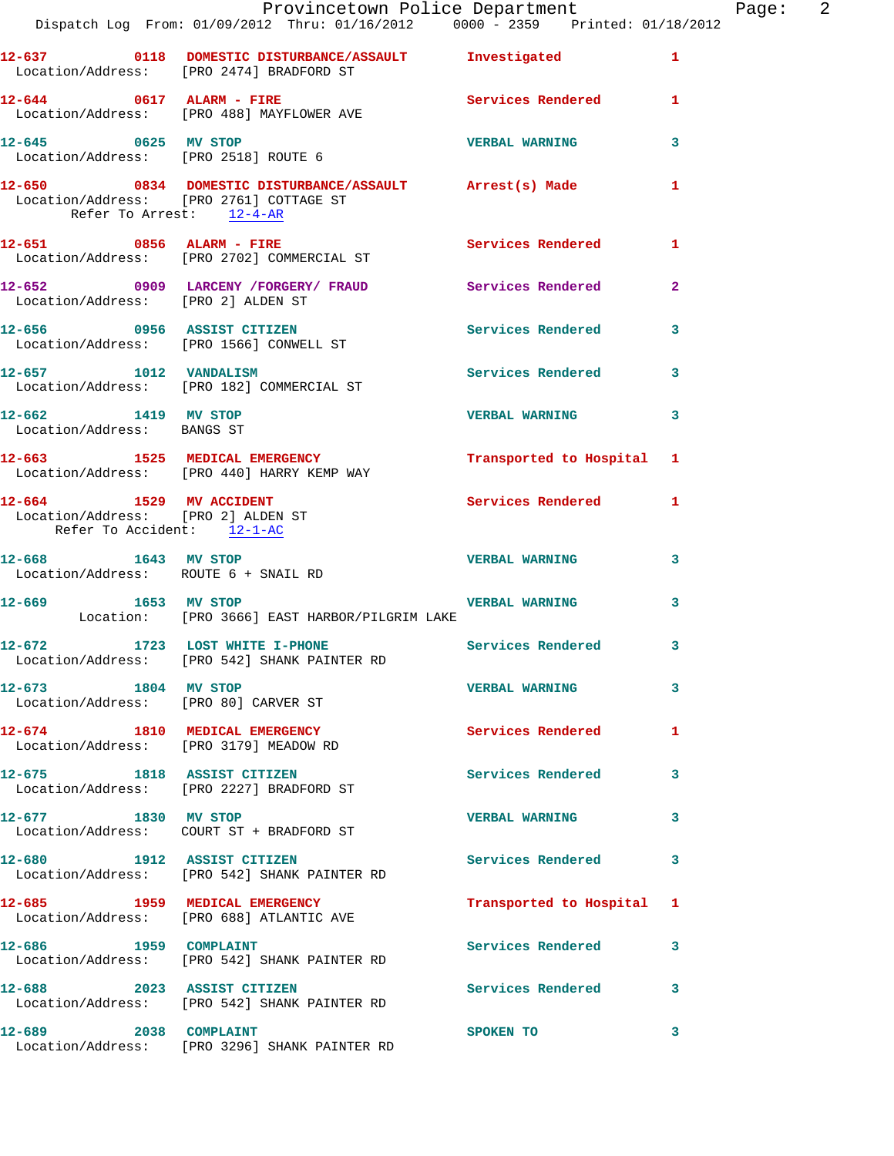|                                                                                             | Provincetown Police Department<br>Dispatch Log From: 01/09/2012 Thru: 01/16/2012 0000 - 2359 Printed: 01/18/2012 |                           |              | Page: $2$ |  |
|---------------------------------------------------------------------------------------------|------------------------------------------------------------------------------------------------------------------|---------------------------|--------------|-----------|--|
|                                                                                             | 12-637 0118 DOMESTIC DISTURBANCE/ASSAULT Investigated 1<br>Location/Address: [PRO 2474] BRADFORD ST              |                           |              |           |  |
| $12-644$ 0617 ALARM - FIRE                                                                  | Location/Address: [PRO 488] MAYFLOWER AVE                                                                        | Services Rendered 1       |              |           |  |
| $12-645$ 0625 MV STOP<br>Location/Address: [PRO 2518] ROUTE 6                               |                                                                                                                  | <b>VERBAL WARNING</b>     | 3            |           |  |
| Location/Address: [PRO 2761] COTTAGE ST<br>Refer To Arrest: 12-4-AR                         | 12-650 0834 DOMESTIC DISTURBANCE/ASSAULT Arrest(s) Made                                                          |                           | 1            |           |  |
|                                                                                             | $12-651$ 0856 ALARM - FIRE<br>Location/Address: [PRO 2702] COMMERCIAL ST                                         | Services Rendered 1       |              |           |  |
| Location/Address: [PRO 2] ALDEN ST                                                          | 12-652 0909 LARCENY /FORGERY/ FRAUD Services Rendered                                                            |                           | $\mathbf{2}$ |           |  |
|                                                                                             | 12-656 0956 ASSIST CITIZEN<br>Location/Address: [PRO 1566] CONWELL ST                                            | Services Rendered 3       |              |           |  |
|                                                                                             | 12-657 1012 VANDALISM<br>Location/Address: [PRO 182] COMMERCIAL ST                                               | Services Rendered         | 3            |           |  |
| 12-662 1419 MV STOP<br>Location/Address: BANGS ST                                           |                                                                                                                  | <b>VERBAL WARNING</b>     | 3            |           |  |
|                                                                                             | 12-663 1525 MEDICAL EMERGENCY<br>Location/Address: [PRO 440] HARRY KEMP WAY                                      | Transported to Hospital 1 |              |           |  |
| 12-664 1529 MV ACCIDENT<br>Location/Address: [PRO 2] ALDEN ST<br>Refer To Accident: 12-1-AC |                                                                                                                  | Services Rendered 1       |              |           |  |
| 12-668 1643 MV STOP<br>Location/Address: ROUTE 6 + SNAIL RD                                 |                                                                                                                  | <b>VERBAL WARNING</b>     | 3            |           |  |
| 12-669 1653 MV STOP                                                                         | <b>VERBAL WARNING</b><br>Location: [PRO 3666] EAST HARBOR/PILGRIM LAKE                                           |                           | 3            |           |  |
|                                                                                             | 12-672 1723 LOST WHITE I-PHONE<br>Location/Address: [PRO 542] SHANK PAINTER RD                                   | Services Rendered 3       |              |           |  |
| 12-673 1804 MV STOP                                                                         | Location/Address: [PRO 80] CARVER ST                                                                             | <b>VERBAL WARNING</b>     | 3            |           |  |
|                                                                                             | 12-674 1810 MEDICAL EMERGENCY<br>Location/Address: [PRO 3179] MEADOW RD                                          | Services Rendered         | 1            |           |  |
|                                                                                             | 12-675 1818 ASSIST CITIZEN<br>Location/Address: [PRO 2227] BRADFORD ST                                           | <b>Services Rendered</b>  | 3            |           |  |
| 12-677 1830 MV STOP                                                                         | Location/Address: COURT ST + BRADFORD ST                                                                         | <b>VERBAL WARNING</b>     | 3            |           |  |
|                                                                                             | 12-680 1912 ASSIST CITIZEN<br>Location/Address: [PRO 542] SHANK PAINTER RD                                       | Services Rendered         | 3            |           |  |
|                                                                                             | 12-685 1959 MEDICAL EMERGENCY<br>Location/Address: [PRO 688] ATLANTIC AVE                                        | Transported to Hospital 1 |              |           |  |
| 12-686 1959 COMPLAINT                                                                       | Location/Address: [PRO 542] SHANK PAINTER RD                                                                     | Services Rendered         | 3            |           |  |
|                                                                                             | 12-688 2023 ASSIST CITIZEN<br>Location/Address: [PRO 542] SHANK PAINTER RD                                       | Services Rendered         | 3            |           |  |
| 12-689 2038 COMPLAINT                                                                       | Location/Address: [PRO 3296] SHANK PAINTER RD                                                                    | SPOKEN TO                 | 3            |           |  |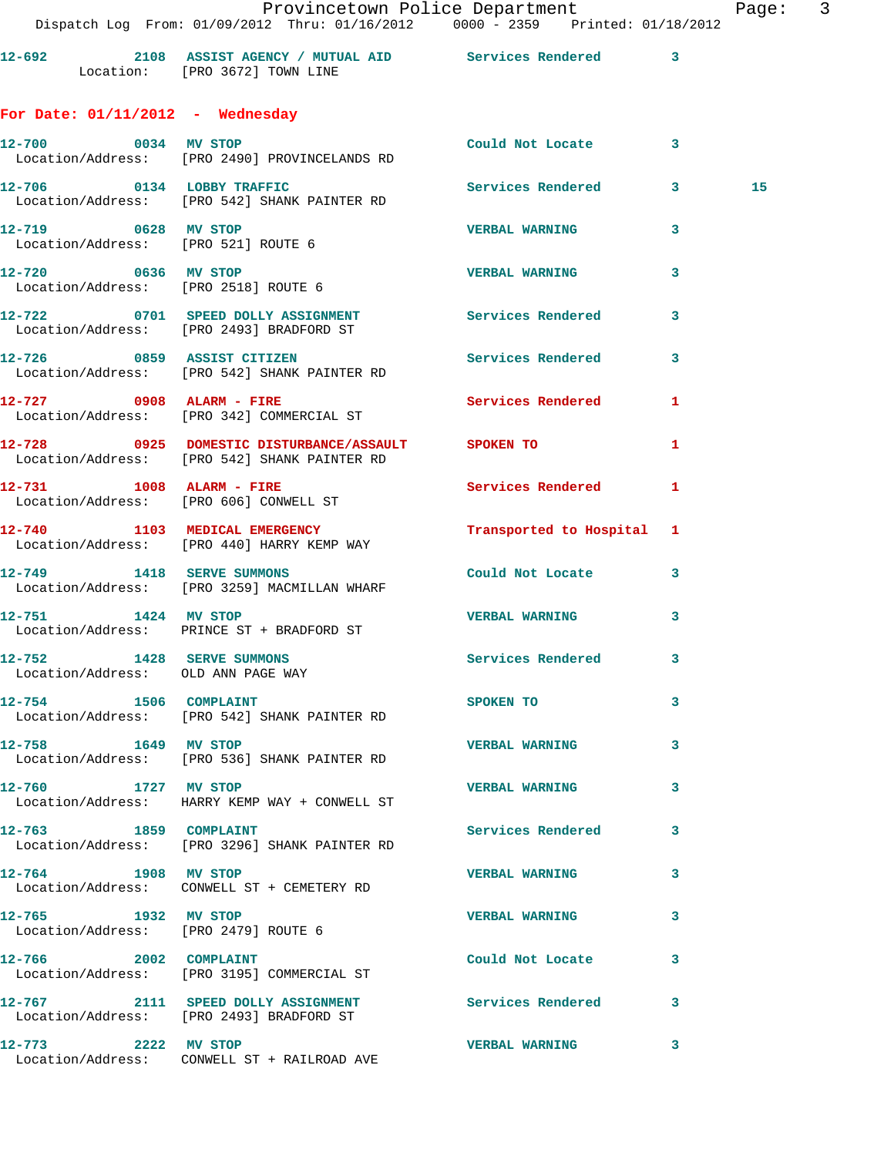## **For Date: 01/11/2012 - Wednesday**

| 12-700 0034 MV STOP                                             | Location/Address: [PRO 2490] PROVINCELANDS RD                                                      | Could Not Locate 3        |    |    |
|-----------------------------------------------------------------|----------------------------------------------------------------------------------------------------|---------------------------|----|----|
|                                                                 | 12-706 0134 LOBBY TRAFFIC Services Rendered 3<br>Location/Address: [PRO 542] SHANK PAINTER RD      |                           |    | 15 |
| 12-719 0628 MV STOP                                             | Location/Address: [PRO 521] ROUTE 6                                                                | <b>VERBAL WARNING</b>     | 3  |    |
|                                                                 | 12-720 0636 MV STOP<br>Location/Address: [PRO 2518] ROUTE 6                                        | <b>VERBAL WARNING</b>     | 3  |    |
|                                                                 | 12-722 0701 SPEED DOLLY ASSIGNMENT Services Rendered 3<br>Location/Address: [PRO 2493] BRADFORD ST |                           |    |    |
|                                                                 | 12-726 0859 ASSIST CITIZEN<br>Location/Address: [PRO 542] SHANK PAINTER RD                         | Services Rendered         | 3  |    |
|                                                                 | 12-727 0908 ALARM - FIRE<br>Location/Address: [PRO 342] COMMERCIAL ST                              | Services Rendered         | 1  |    |
|                                                                 | 12-728 0925 DOMESTIC DISTURBANCE/ASSAULT SPOKEN TO<br>Location/Address: [PRO 542] SHANK PAINTER RD |                           | 1  |    |
|                                                                 | 12-731 1008 ALARM - FIRE<br>Location/Address: [PRO 606] CONWELL ST                                 | Services Rendered 1       |    |    |
|                                                                 | 12-740 1103 MEDICAL EMERGENCY<br>Location/Address: [PRO 440] HARRY KEMP WAY                        | Transported to Hospital 1 |    |    |
|                                                                 | 12-749 1418 SERVE SUMMONS<br>Location/Address: [PRO 3259] MACMILLAN WHARF                          | Could Not Locate 3        |    |    |
|                                                                 | 12-751 1424 MV STOP<br>Location/Address: PRINCE ST + BRADFORD ST                                   | <b>VERBAL WARNING</b>     | 3  |    |
| 12-752 1428 SERVE SUMMONS<br>Location/Address: OLD ANN PAGE WAY |                                                                                                    | Services Rendered         | 3  |    |
|                                                                 | 12-754 1506 COMPLAINT<br>Location/Address: [PRO 542] SHANK PAINTER RD                              | SPOKEN TO                 | 3  |    |
|                                                                 | 12-758 1649 MV STOP<br>Location/Address: [PRO 536] SHANK PAINTER RD                                | <b>VERBAL WARNING</b>     | 3  |    |
| 12-760 1727 MV STOP                                             | Location/Address: HARRY KEMP WAY + CONWELL ST                                                      | <b>VERBAL WARNING</b>     | 3. |    |
| 12-763 1859 COMPLAINT                                           | Location/Address: [PRO 3296] SHANK PAINTER RD                                                      | Services Rendered         | 3  |    |
| 12-764 1908 MV STOP                                             | Location/Address: CONWELL ST + CEMETERY RD                                                         | <b>VERBAL WARNING</b>     | 3  |    |
| 12-765 1932 MV STOP                                             | Location/Address: [PRO 2479] ROUTE 6                                                               | <b>VERBAL WARNING</b>     | 3  |    |
| 12-766 2002 COMPLAINT                                           | Location/Address: [PRO 3195] COMMERCIAL ST                                                         | Could Not Locate          | 3  |    |
|                                                                 | 12-767 2111 SPEED DOLLY ASSIGNMENT<br>Location/Address: [PRO 2493] BRADFORD ST                     | <b>Services Rendered</b>  | 3  |    |
| 12-773 2222 MV STOP                                             | Location/Address: CONWELL ST + RAILROAD AVE                                                        | <b>VERBAL WARNING</b>     | 3  |    |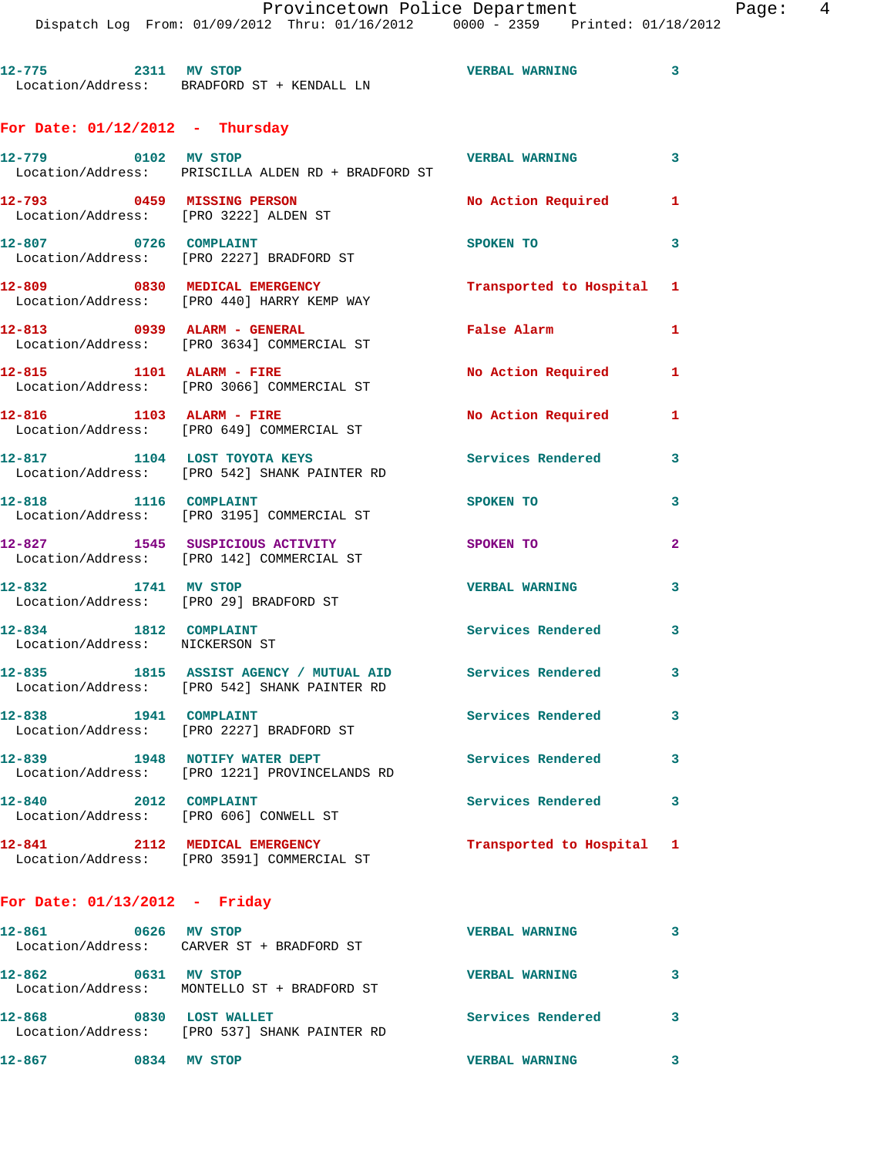**12-775 2311 MV STOP VERBAL WARNING 3**  Location/Address: BRADFORD ST + KENDALL LN

## **For Date: 01/12/2012 - Thursday**

| 12-779 0102 MV STOP                                             | Location/Address: PRISCILLA ALDEN RD + BRADFORD ST                                                       | <b>VERBAL WARNING</b>     | 3 <sup>7</sup>             |
|-----------------------------------------------------------------|----------------------------------------------------------------------------------------------------------|---------------------------|----------------------------|
| 12-793                                                          | 0459 MISSING PERSON<br>Location/Address: [PRO 3222] ALDEN ST                                             | No Action Required 1      |                            |
| 0726 COMPLAINT<br>12-807                                        | Location/Address: [PRO 2227] BRADFORD ST                                                                 | SPOKEN TO                 | 3                          |
|                                                                 | 12-809 0830 MEDICAL EMERGENCY<br>Location/Address: [PRO 440] HARRY KEMP WAY                              | Transported to Hospital 1 |                            |
| 12-813 0939 ALARM - GENERAL                                     | Location/Address: [PRO 3634] COMMERCIAL ST                                                               | False Alarm               | $\mathbf{1}$               |
| 12-815 1101 ALARM - FIRE                                        | Location/Address: [PRO 3066] COMMERCIAL ST                                                               | No Action Required 1      |                            |
| 12-816                                                          | 1103 ALARM - FIRE<br>Location/Address: [PRO 649] COMMERCIAL ST                                           | No Action Required        | $\mathbf{1}$               |
|                                                                 | 12-817 1104 LOST TOYOTA KEYS<br>Location/Address: [PRO 542] SHANK PAINTER RD                             | <b>Services Rendered</b>  | 3                          |
| 12-818 1116 COMPLAINT                                           | Location/Address: [PRO 3195] COMMERCIAL ST                                                               | SPOKEN TO                 | 3                          |
|                                                                 | 12-827 1545 SUSPICIOUS ACTIVITY<br>Location/Address: [PRO 142] COMMERCIAL ST                             | <b>SPOKEN TO</b>          | $\overline{2}$             |
| 12-832 1741 MV STOP<br>Location/Address: [PRO 29] BRADFORD ST   |                                                                                                          | <b>VERBAL WARNING</b>     | $\overline{\mathbf{3}}$    |
| 12-834 1812 COMPLAINT<br>Location/Address: NICKERSON ST         |                                                                                                          | <b>Services Rendered</b>  | 3                          |
|                                                                 | 12-835 1815 ASSIST AGENCY / MUTUAL AID Services Rendered<br>Location/Address: [PRO 542] SHANK PAINTER RD |                           | 3                          |
| 12-838 1941 COMPLAINT                                           | Location/Address: [PRO 2227] BRADFORD ST                                                                 | Services Rendered         | $\mathbf{3}$               |
|                                                                 | 12-839 1948 NOTIFY WATER DEPT<br>Location/Address: [PRO 1221] PROVINCELANDS RD                           | <b>Services Rendered</b>  | $\overline{\phantom{a}}$ 3 |
| 12-840 2012 COMPLAINT<br>Location/Address: [PRO 606] CONWELL ST |                                                                                                          | Services Rendered 3       |                            |
|                                                                 | 12-841 2112 MEDICAL EMERGENCY<br>Location/Address: [PRO 3591] COMMERCIAL ST                              | Transported to Hospital 1 |                            |

## **For Date: 01/13/2012 - Friday**

| 12-861 | 0626 | <b>MV STOP</b><br>Location/Address: CARVER ST + BRADFORD ST        | <b>VERBAL WARNING</b> |  |
|--------|------|--------------------------------------------------------------------|-----------------------|--|
| 12-862 | 0631 | MV STOP<br>Location/Address: MONTELLO ST + BRADFORD ST             | <b>VERBAL WARNING</b> |  |
| 12-868 | 0830 | <b>LOST WALLET</b><br>Location/Address: [PRO 537] SHANK PAINTER RD | Services Rendered     |  |
| 12-867 | 0834 | <b>MV STOP</b>                                                     | <b>VERBAL WARNING</b> |  |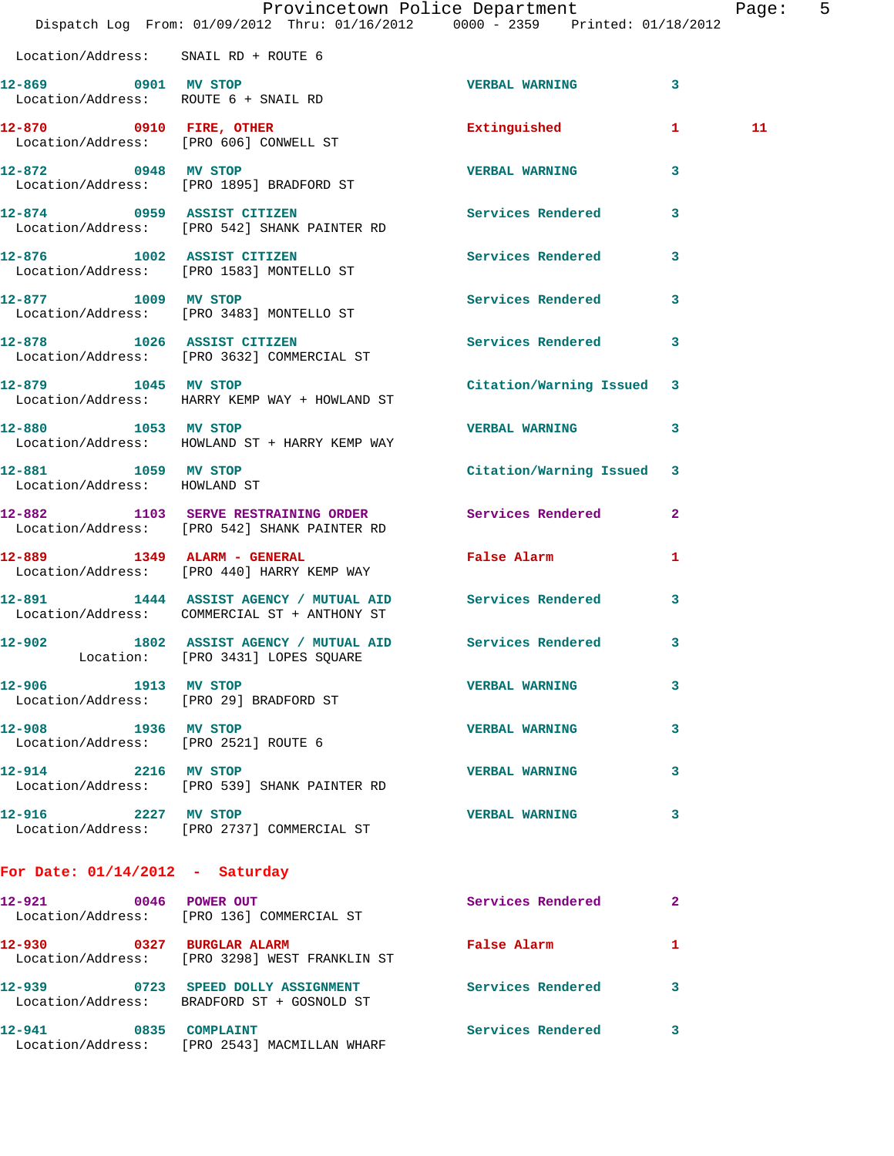|                                                             | Dispatch Log From: 01/09/2012 Thru: 01/16/2012 0000 - 2359 Printed: 01/18/2012                           | Provincetown Police Department |              | Page: 5 |  |
|-------------------------------------------------------------|----------------------------------------------------------------------------------------------------------|--------------------------------|--------------|---------|--|
| Location/Address: SNAIL RD + ROUTE 6                        |                                                                                                          |                                |              |         |  |
| 12-869 0901 MV STOP                                         |                                                                                                          |                                |              |         |  |
|                                                             | Location/Address: ROUTE 6 + SNAIL RD                                                                     | <b>VERBAL WARNING</b>          | 3            |         |  |
|                                                             | 12-870 0910 FIRE, OTHER<br>Location/Address: [PRO 606] CONWELL ST                                        | Extinguished                   | $\mathbf{1}$ | 11      |  |
| 12-872 0948 MV STOP                                         | Location/Address: [PRO 1895] BRADFORD ST                                                                 | <b>VERBAL WARNING</b>          | $\mathbf{3}$ |         |  |
|                                                             | 12-874 0959 ASSIST CITIZEN<br>Location/Address: [PRO 542] SHANK PAINTER RD                               | <b>Services Rendered</b>       | 3            |         |  |
|                                                             | 12-876 1002 ASSIST CITIZEN<br>Location/Address: [PRO 1583] MONTELLO ST                                   | Services Rendered 3            |              |         |  |
|                                                             | 12-877 1009 MV STOP<br>Location/Address: [PRO 3483] MONTELLO ST                                          | Services Rendered              | 3            |         |  |
| 12-878 1026 ASSIST CITIZEN                                  | Location/Address: [PRO 3632] COMMERCIAL ST                                                               | Services Rendered 3            |              |         |  |
| 12-879 1045 MV STOP                                         | Location/Address: HARRY KEMP WAY + HOWLAND ST                                                            | Citation/Warning Issued 3      |              |         |  |
| 12-880 1053 MV STOP                                         | Location/Address: HOWLAND ST + HARRY KEMP WAY                                                            | <b>VERBAL WARNING</b>          | 3            |         |  |
| 12-881 1059 MV STOP<br>Location/Address: HOWLAND ST         |                                                                                                          | Citation/Warning Issued 3      |              |         |  |
|                                                             | 12-882 1103 SERVE RESTRAINING ORDER<br>Location/Address: [PRO 542] SHANK PAINTER RD                      | Services Rendered              | $\mathbf{2}$ |         |  |
|                                                             | 12-889 1349 ALARM - GENERAL<br>Location/Address: [PRO 440] HARRY KEMP WAY                                | False Alarm                    | 1            |         |  |
|                                                             | 12-891 1444 ASSIST AGENCY / MUTUAL AID Services Rendered<br>Location/Address: COMMERCIAL ST + ANTHONY ST |                                | 3            |         |  |
|                                                             | 12-902 1802 ASSIST AGENCY / MUTUAL AID Services Rendered<br>Location: [PRO 3431] LOPES SQUARE            |                                | $\mathbf{3}$ |         |  |
| 12-906 1913 MV STOP                                         | Location/Address: [PRO 29] BRADFORD ST                                                                   | <b>VERBAL WARNING</b>          | 3            |         |  |
| 12-908 1936 MV STOP<br>Location/Address: [PRO 2521] ROUTE 6 |                                                                                                          | <b>VERBAL WARNING</b>          | 3            |         |  |
| 12-914 2216 MV STOP                                         | Location/Address: [PRO 539] SHANK PAINTER RD                                                             | <b>VERBAL WARNING</b>          | 3            |         |  |
| 12-916 2227 MV STOP                                         | Location/Address: [PRO 2737] COMMERCIAL ST                                                               | <b>VERBAL WARNING</b>          | 3            |         |  |
| For Date: $01/14/2012$ - Saturday                           |                                                                                                          |                                |              |         |  |
|                                                             | 12-921 0046 POWER OUT<br>Location/Address: [PRO 136] COMMERCIAL ST                                       | Services Rendered              | -2           |         |  |
| 12-930 0327 BURGLAR ALARM                                   | Location/Address: [PRO 3298] WEST FRANKLIN ST                                                            | False Alarm                    | 1            |         |  |
|                                                             | 12-939 0723 SPEED DOLLY ASSIGNMENT<br>Location/Address: BRADFORD ST + GOSNOLD ST                         | Services Rendered 3            |              |         |  |

**12-941 0835 COMPLAINT Services Rendered 3**  Location/Address: [PRO 2543] MACMILLAN WHARF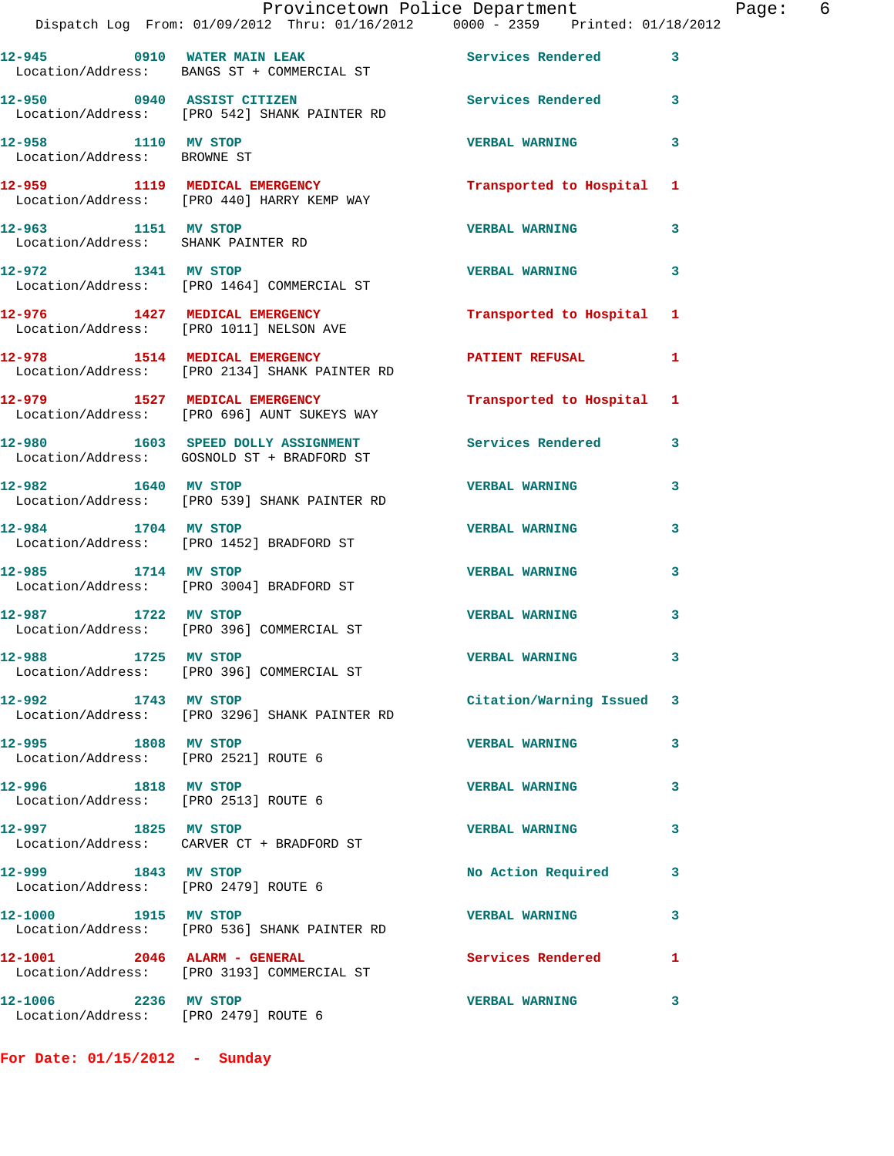|                                                             | Provincetown Police Department<br>Dispatch Log From: 01/09/2012 Thru: 01/16/2012 0000 - 2359 Printed: 01/18/2012 |                          |   |
|-------------------------------------------------------------|------------------------------------------------------------------------------------------------------------------|--------------------------|---|
|                                                             | 12-945 0910 WATER MAIN LEAK<br>Location/Address: BANGS ST + COMMERCIAL ST                                        | <b>Services Rendered</b> | 3 |
|                                                             | 12-950 0940 ASSIST CITIZEN<br>Location/Address: [PRO 542] SHANK PAINTER RD                                       | Services Rendered        | 3 |
| 12-958 1110 MV STOP<br>Location/Address: BROWNE ST          |                                                                                                                  | <b>VERBAL WARNING</b>    | 3 |
|                                                             | 12-959 1119 MEDICAL EMERGENCY<br>Location/Address: [PRO 440] HARRY KEMP WAY                                      | Transported to Hospital  | 1 |
| 12-963 1151 MV STOP                                         | Location/Address: SHANK PAINTER RD                                                                               | <b>VERBAL WARNING</b>    | 3 |
| 12-972 1341 MV STOP                                         | Location/Address: [PRO 1464] COMMERCIAL ST                                                                       | <b>VERBAL WARNING</b>    | 3 |
|                                                             | 12-976 1427 MEDICAL EMERGENCY<br>Location/Address: [PRO 1011] NELSON AVE                                         | Transported to Hospital  | 1 |
|                                                             | 12-978 1514 MEDICAL EMERGENCY<br>Location/Address: [PRO 2134] SHANK PAINTER RD                                   | <b>PATIENT REFUSAL</b>   | 1 |
|                                                             | 12-979 1527 MEDICAL EMERGENCY<br>Location/Address: [PRO 696] AUNT SUKEYS WAY                                     | Transported to Hospital  | 1 |
|                                                             | 12-980 1603 SPEED DOLLY ASSIGNMENT<br>Location/Address: GOSNOLD ST + BRADFORD ST                                 | <b>Services Rendered</b> | 3 |
| 12-982 1640 MV STOP                                         | Location/Address: [PRO 539] SHANK PAINTER RD                                                                     | <b>VERBAL WARNING</b>    | 3 |
| 12-984 1704 MV STOP                                         | Location/Address: [PRO 1452] BRADFORD ST                                                                         | <b>VERBAL WARNING</b>    | 3 |
| 12-985 1714 MV STOP                                         | Location/Address: [PRO 3004] BRADFORD ST                                                                         | <b>VERBAL WARNING</b>    | 3 |
| 12-987 1722 MV STOP                                         | Location/Address: [PRO 396] COMMERCIAL ST                                                                        | <b>VERBAL WARNING</b>    | 3 |
| 12-988 1725 MV STOP                                         | Location/Address: [PRO 396] COMMERCIAL ST                                                                        | <b>VERBAL WARNING</b>    | 3 |
| 12-992 1743 MV STOP                                         | Location/Address: [PRO 3296] SHANK PAINTER RD                                                                    | Citation/Warning Issued  | 3 |
| 12-995 1808 MV STOP<br>Location/Address: [PRO 2521] ROUTE 6 |                                                                                                                  | <b>VERBAL WARNING</b>    | 3 |
| 12-996 1818 MV STOP<br>Location/Address: [PRO 2513] ROUTE 6 |                                                                                                                  | <b>VERBAL WARNING</b>    | 3 |
| 12-997 1825 MV STOP                                         | Location/Address: CARVER CT + BRADFORD ST                                                                        | <b>VERBAL WARNING</b>    | 3 |
| 12-999 1843 MV STOP                                         | Location/Address: [PRO 2479] ROUTE 6                                                                             | No Action Required       | 3 |
| 12-1000 1915 MV STOP                                        | Location/Address: [PRO 536] SHANK PAINTER RD                                                                     | <b>VERBAL WARNING</b>    | 3 |
| 12-1001 2046 ALARM - GENERAL                                | Location/Address: [PRO 3193] COMMERCIAL ST                                                                       | Services Rendered        | 1 |
| 12-1006 2236 MV STOP                                        |                                                                                                                  | <b>VERBAL WARNING</b>    | 3 |

**For Date: 01/15/2012 - Sunday**

Location/Address: [PRO 2479] ROUTE 6

Page: 6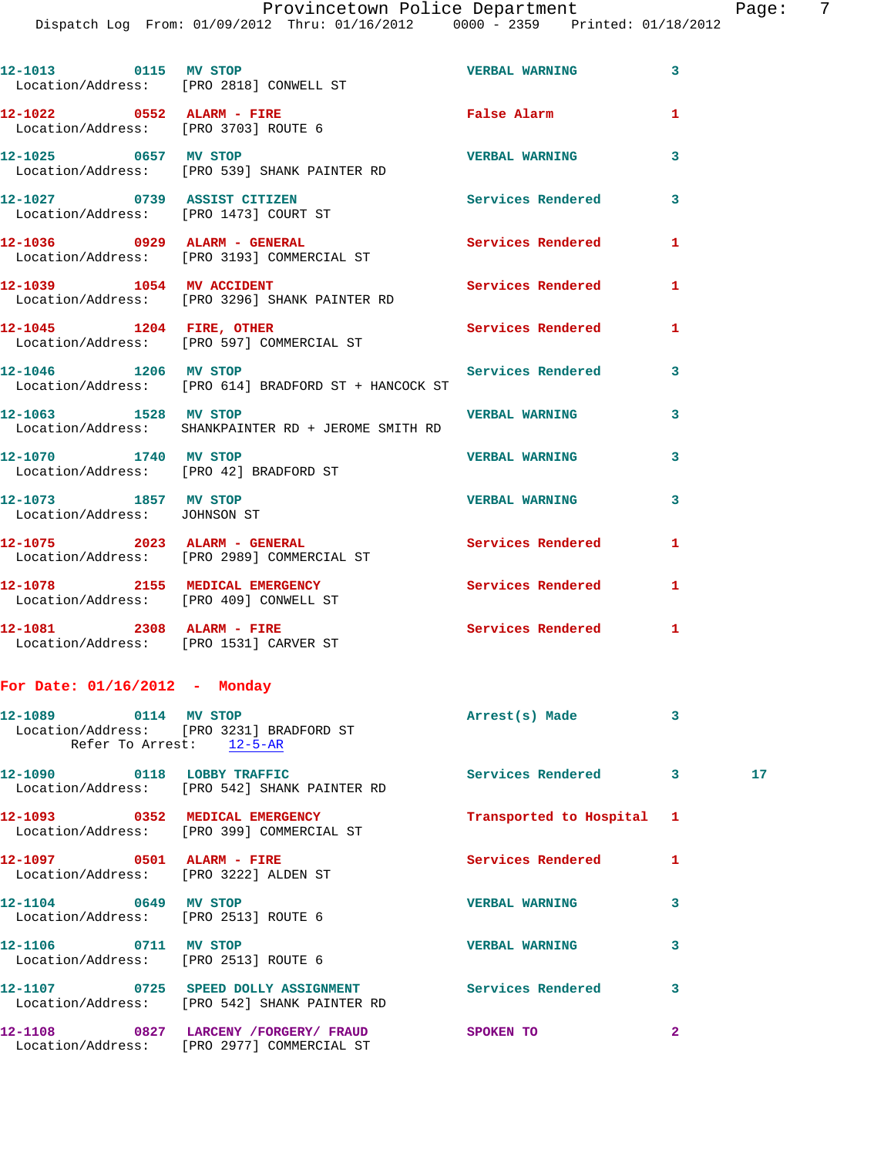Provincetown Police Department Fage: 7

Dispatch Log From: 01/09/2012 Thru: 01/16/2012 0000 - 2359 Printed: 01/18/2012

|                                                                    | 12-1013 0115 MV STOP<br>Location/Address: [PRO 2818] CONWELL ST                                       | <b>VERBAL WARNING</b>     | 3              |                 |
|--------------------------------------------------------------------|-------------------------------------------------------------------------------------------------------|---------------------------|----------------|-----------------|
|                                                                    | 12-1022 0552 ALARM - FIRE<br>Location/Address: [PRO 3703] ROUTE 6                                     | False Alarm               | 1              |                 |
| 12-1025 0657 MV STOP                                               | Location/Address: [PRO 539] SHANK PAINTER RD                                                          | <b>VERBAL WARNING</b>     | 3              |                 |
|                                                                    | 12-1027 0739 ASSIST CITIZEN<br>Location/Address: [PRO 1473] COURT ST                                  | Services Rendered         | 3              |                 |
|                                                                    | 12-1036 0929 ALARM - GENERAL<br>Location/Address: [PRO 3193] COMMERCIAL ST                            | Services Rendered         | 1              |                 |
|                                                                    | 12-1039    1054    MV    ACCIDENT<br>Location/Address: [PRO 3296] SHANK PAINTER RD                    | Services Rendered         | 1              |                 |
| 12-1045 1204 FIRE, OTHER                                           | Location/Address: [PRO 597] COMMERCIAL ST                                                             | Services Rendered         | 1              |                 |
|                                                                    | 12-1046 1206 MV STOP<br>Location/Address: [PRO 614] BRADFORD ST + HANCOCK ST                          | Services Rendered         | 3              |                 |
| 12-1063 1528 MV STOP                                               | Location/Address: SHANKPAINTER RD + JEROME SMITH RD                                                   | <b>VERBAL WARNING</b>     | 3              |                 |
| 12-1070 1740 MV STOP                                               | Location/Address: [PRO 42] BRADFORD ST                                                                | <b>VERBAL WARNING</b>     | 3              |                 |
| 12-1073 1857 MV STOP<br>Location/Address: JOHNSON ST               |                                                                                                       | <b>VERBAL WARNING</b>     | 3              |                 |
|                                                                    | 12-1075 2023 ALARM - GENERAL<br>Location/Address: [PRO 2989] COMMERCIAL ST                            | Services Rendered         | 1              |                 |
|                                                                    | 12-1078 2155 MEDICAL EMERGENCY<br>Location/Address: [PRO 409] CONWELL ST                              | Services Rendered         | 1              |                 |
|                                                                    | 12-1081 2308 ALARM - FIRE<br>Location/Address: [PRO 1531] CARVER ST                                   | Services Rendered 1       |                |                 |
| For Date: $01/16/2012$ - Monday                                    |                                                                                                       |                           |                |                 |
|                                                                    | 12-1089 0114 MV STOP<br>Location/Address: [PRO 3231] BRADFORD ST<br>Refer To Arrest: 12-5-AR          | Arrest(s) Made            | 3              |                 |
| 12-1090 0118 LOBBY TRAFFIC                                         | Location/Address: [PRO 542] SHANK PAINTER RD                                                          | Services Rendered 3       |                | 17 <sub>1</sub> |
|                                                                    | 12-1093 0352 MEDICAL EMERGENCY<br>Location/Address: [PRO 399] COMMERCIAL ST                           | Transported to Hospital 1 |                |                 |
| 12-1097 0501 ALARM - FIRE<br>Location/Address: [PRO 3222] ALDEN ST |                                                                                                       | Services Rendered         | 1              |                 |
| 12-1104 0649 MV STOP<br>Location/Address: [PRO 2513] ROUTE 6       |                                                                                                       | <b>VERBAL WARNING</b>     | 3              |                 |
| 12-1106 0711 MV STOP                                               | Location/Address: [PRO 2513] ROUTE 6                                                                  | <b>VERBAL WARNING</b>     | 3              |                 |
|                                                                    | 12-1107 0725 SPEED DOLLY ASSIGNMENT Services Rendered<br>Location/Address: [PRO 542] SHANK PAINTER RD |                           | 3              |                 |
|                                                                    | 12-1108 0827 LARCENY /FORGERY / FRAUD SPOKEN TO<br>Location/Address: [PRO 2977] COMMERCIAL ST         |                           | $\overline{a}$ |                 |
|                                                                    |                                                                                                       |                           |                |                 |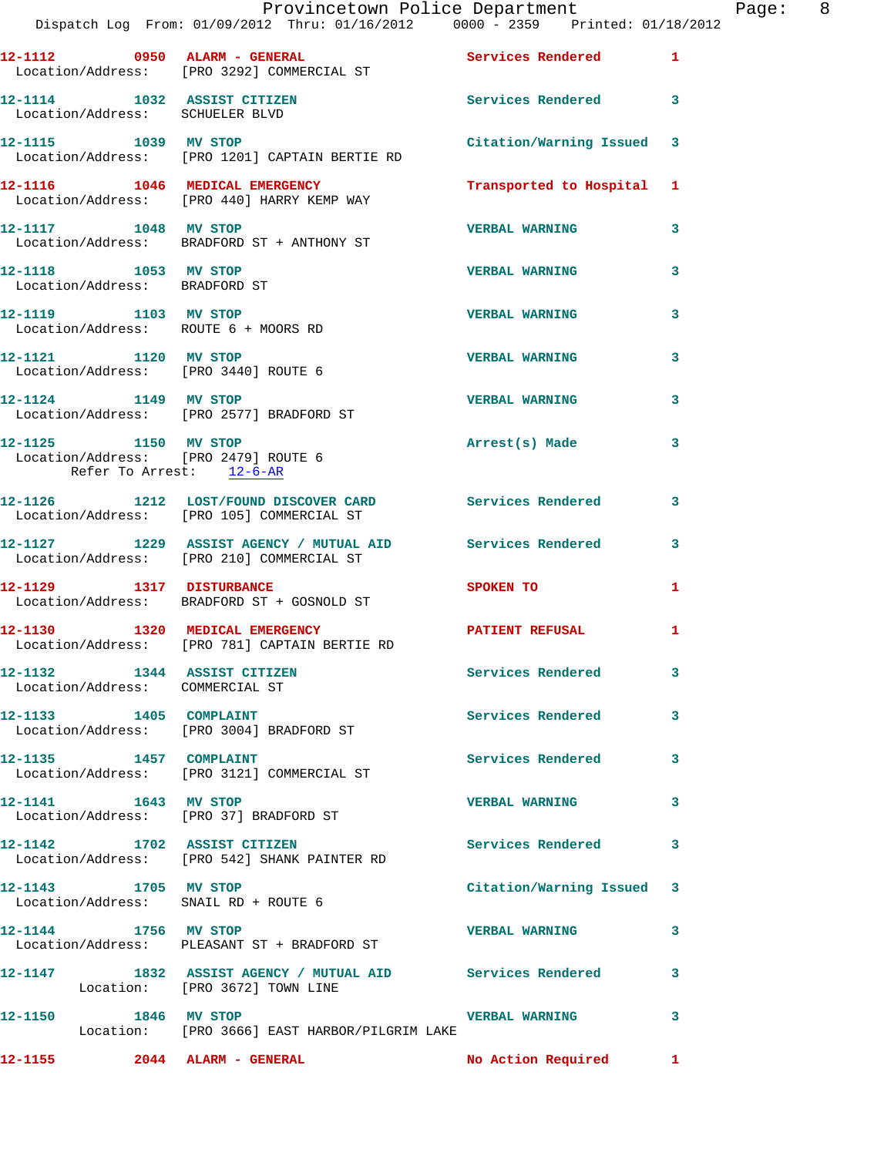|                      | Provincetown Police Department The Rage: 8<br>Dispatch Log From: 01/09/2012 Thru: 01/16/2012   0000 - 2359   Printed: 01/18/2012 |                           |   |  |
|----------------------|----------------------------------------------------------------------------------------------------------------------------------|---------------------------|---|--|
|                      | 12-1112 0950 ALARM - GENERAL CONSERVICES Rendered 1<br>Location/Address: [PRO 3292] COMMERCIAL ST                                |                           |   |  |
|                      | 12-1114 1032 ASSIST CITIZEN 5ervices Rendered 3<br>Location/Address: SCHUELER BLVD                                               |                           |   |  |
|                      |                                                                                                                                  | Citation/Warning Issued 3 |   |  |
|                      | 12-1116 1046 MEDICAL EMERGENCY<br>Location/Address: [PRO 440] HARRY KEMP WAY                                                     | Transported to Hospital 1 |   |  |
|                      | 12-1117 1048 MV STOP<br>Location/Address: BRADFORD ST + ANTHONY ST                                                               | <b>VERBAL WARNING</b>     | 3 |  |
|                      | 12-1118 1053 MV STOP<br>Location/Address: BRADFORD ST                                                                            | <b>VERBAL WARNING</b>     | 3 |  |
|                      | 12-1119 1103 MV STOP<br>Location/Address: ROUTE 6 + MOORS RD                                                                     | <b>VERBAL WARNING</b>     | 3 |  |
|                      | 12-1121 1120 MV STOP<br>Location/Address: [PRO 3440] ROUTE 6                                                                     | <b>VERBAL WARNING</b>     | 3 |  |
|                      | 12-1124 1149 MV STOP<br>Location/Address: [PRO 2577] BRADFORD ST                                                                 | <b>VERBAL WARNING</b>     | 3 |  |
|                      | 12-1125 1150 MV STOP<br>Location/Address: [PRO 2479] ROUTE 6<br>Refer To Arrest: 12-6-AR                                         | Arrest(s) Made            | 3 |  |
|                      | 12-1126 1212 LOST/FOUND DISCOVER CARD Services Rendered<br>Location/Address: [PRO 105] COMMERCIAL ST                             |                           | 3 |  |
|                      | 12-1127 1229 ASSIST AGENCY / MUTUAL AID Services Rendered 3<br>Location/Address: [PRO 210] COMMERCIAL ST                         |                           |   |  |
|                      | 12-1129 1317 DISTURBANCE<br>Location/Address: BRADFORD ST + GOSNOLD ST                                                           | SPOKEN TO                 | 1 |  |
|                      | 12-1130 1320 MEDICAL EMERGENCY <b>12-1130</b> PATIENT REFUSAL<br>Location/Address: [PRO 781] CAPTAIN BERTIE RD                   |                           | 1 |  |
|                      | 12-1132 1344 ASSIST CITIZEN<br>Location/Address: COMMERCIAL ST                                                                   | Services Rendered         | 3 |  |
|                      | 12-1133 1405 COMPLAINT<br>Location/Address: [PRO 3004] BRADFORD ST                                                               | Services Rendered         | 3 |  |
|                      | 12-1135 1457 COMPLAINT<br>Location/Address: [PRO 3121] COMMERCIAL ST                                                             | Services Rendered 3       |   |  |
|                      | 12-1141 1643 MV STOP<br>Location/Address: [PRO 37] BRADFORD ST                                                                   | <b>VERBAL WARNING</b>     | 3 |  |
|                      | 12-1142 1702 ASSIST CITIZEN<br>Location/Address: [PRO 542] SHANK PAINTER RD                                                      | Services Rendered 3       |   |  |
|                      | 12-1143 1705 MV STOP<br>Location/Address: SNAIL RD + ROUTE 6                                                                     | Citation/Warning Issued 3 |   |  |
| 12-1144 1756 MV STOP | Location/Address: PLEASANT ST + BRADFORD ST                                                                                      | <b>VERBAL WARNING</b>     | 3 |  |
|                      | 12-1147 1832 ASSIST AGENCY / MUTUAL AID Services Rendered<br>Location: [PRO 3672] TOWN LINE                                      |                           | 3 |  |
| 12-1150 1846 MV STOP | Location: [PRO 3666] EAST HARBOR/PILGRIM LAKE                                                                                    | <b>VERBAL WARNING</b>     | 3 |  |
|                      |                                                                                                                                  | No Action Required 1      |   |  |